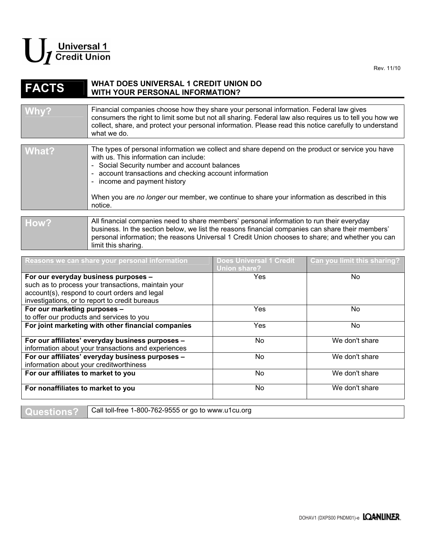

## **FACTS WHAT DOES UNIVERSAL 1 CREDIT UNION DO WITH YOUR PERSONAL INFORMATION?**

| Why?  | Financial companies choose how they share your personal information. Federal law gives<br>consumers the right to limit some but not all sharing. Federal law also requires us to tell you how we<br>collect, share, and protect your personal information. Please read this notice carefully to understand<br>what we do. |
|-------|---------------------------------------------------------------------------------------------------------------------------------------------------------------------------------------------------------------------------------------------------------------------------------------------------------------------------|
| What? | The types of personal information we collect and share depend on the product or service you have<br>with us. This information can include:<br>- Social Security number and account balances<br>- account transactions and checking account information<br>- income and payment history                                    |

When you are *no longer* our member, we continue to share your information as described in this notice.

## How? **All financial companies need to share members' personal information to run their everyday** business. In the section below, we list the reasons financial companies can share their members' personal information; the reasons Universal 1 Credit Union chooses to share; and whether you can limit this sharing.

| Reasons we can share your personal information      | <b>Does Universal 1 Credit</b><br>Union share? | Can you limit this sharing? |
|-----------------------------------------------------|------------------------------------------------|-----------------------------|
| For our everyday business purposes -                | <b>Yes</b>                                     | No.                         |
| such as to process your transactions, maintain your |                                                |                             |
| account(s), respond to court orders and legal       |                                                |                             |
| investigations, or to report to credit bureaus      |                                                |                             |
| For our marketing purposes -                        | Yes                                            | No.                         |
| to offer our products and services to you           |                                                |                             |
| For joint marketing with other financial companies  | <b>Yes</b>                                     | N <sub>o</sub>              |
| For our affiliates' everyday business purposes -    | No                                             | We don't share              |
| information about your transactions and experiences |                                                |                             |
| For our affiliates' everyday business purposes -    | No                                             | We don't share              |
| information about your creditworthiness             |                                                |                             |
| For our affiliates to market to you                 | No.                                            | We don't share              |
| For nonaffiliates to market to you                  | No                                             | We don't share              |

**Questions?** Call toll-free 1-800-762-9555 or go to www.u1cu.org